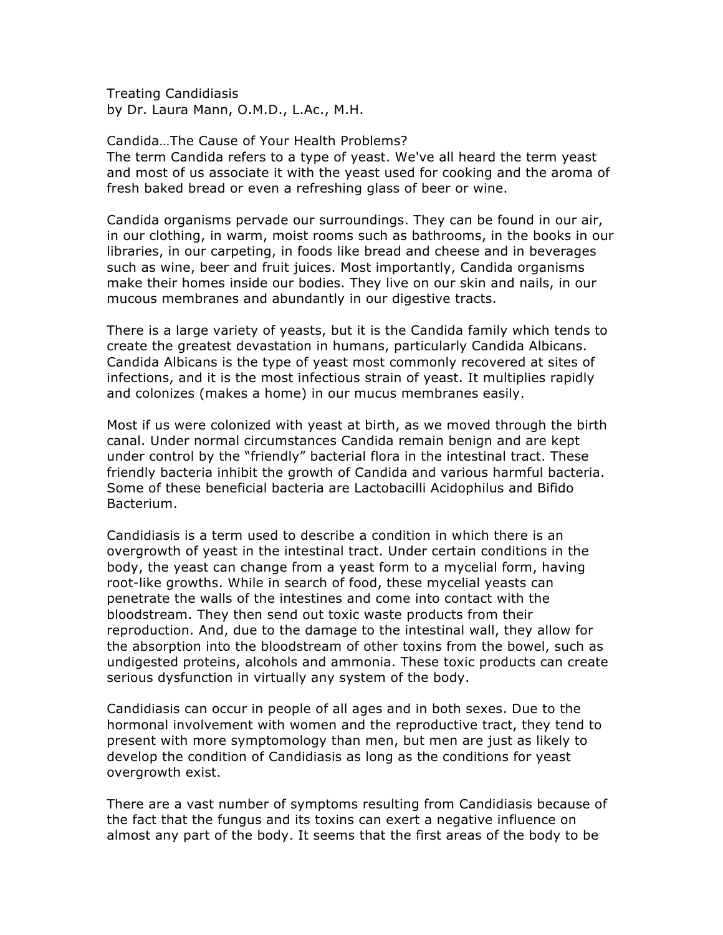Treating Candidiasis by Dr. Laura Mann, O.M.D., L.Ac., M.H.

Candida…The Cause of Your Health Problems? The term Candida refers to a type of yeast. We've all heard the term yeast and most of us associate it with the yeast used for cooking and the aroma of fresh baked bread or even a refreshing glass of beer or wine.

Candida organisms pervade our surroundings. They can be found in our air, in our clothing, in warm, moist rooms such as bathrooms, in the books in our libraries, in our carpeting, in foods like bread and cheese and in beverages such as wine, beer and fruit juices. Most importantly, Candida organisms make their homes inside our bodies. They live on our skin and nails, in our mucous membranes and abundantly in our digestive tracts.

There is a large variety of yeasts, but it is the Candida family which tends to create the greatest devastation in humans, particularly Candida Albicans. Candida Albicans is the type of yeast most commonly recovered at sites of infections, and it is the most infectious strain of yeast. It multiplies rapidly and colonizes (makes a home) in our mucus membranes easily.

Most if us were colonized with yeast at birth, as we moved through the birth canal. Under normal circumstances Candida remain benign and are kept under control by the "friendly" bacterial flora in the intestinal tract. These friendly bacteria inhibit the growth of Candida and various harmful bacteria. Some of these beneficial bacteria are Lactobacilli Acidophilus and Bifido Bacterium.

Candidiasis is a term used to describe a condition in which there is an overgrowth of yeast in the intestinal tract. Under certain conditions in the body, the yeast can change from a yeast form to a mycelial form, having root-like growths. While in search of food, these mycelial yeasts can penetrate the walls of the intestines and come into contact with the bloodstream. They then send out toxic waste products from their reproduction. And, due to the damage to the intestinal wall, they allow for the absorption into the bloodstream of other toxins from the bowel, such as undigested proteins, alcohols and ammonia. These toxic products can create serious dysfunction in virtually any system of the body.

Candidiasis can occur in people of all ages and in both sexes. Due to the hormonal involvement with women and the reproductive tract, they tend to present with more symptomology than men, but men are just as likely to develop the condition of Candidiasis as long as the conditions for yeast overgrowth exist.

There are a vast number of symptoms resulting from Candidiasis because of the fact that the fungus and its toxins can exert a negative influence on almost any part of the body. It seems that the first areas of the body to be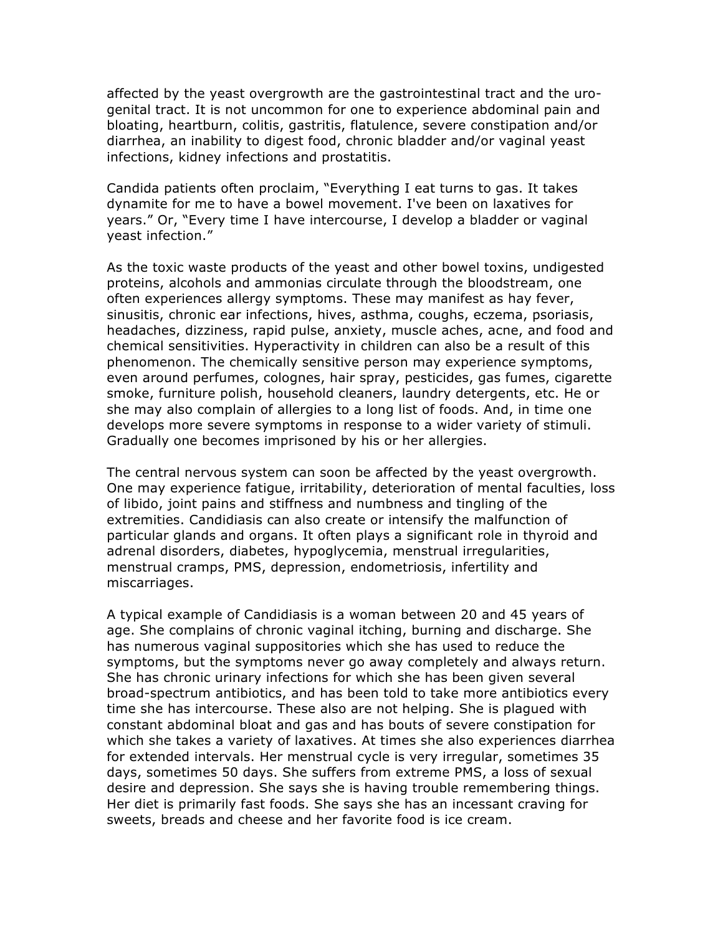affected by the yeast overgrowth are the gastrointestinal tract and the urogenital tract. It is not uncommon for one to experience abdominal pain and bloating, heartburn, colitis, gastritis, flatulence, severe constipation and/or diarrhea, an inability to digest food, chronic bladder and/or vaginal yeast infections, kidney infections and prostatitis.

Candida patients often proclaim, "Everything I eat turns to gas. It takes dynamite for me to have a bowel movement. I've been on laxatives for years." Or, "Every time I have intercourse, I develop a bladder or vaginal yeast infection."

As the toxic waste products of the yeast and other bowel toxins, undigested proteins, alcohols and ammonias circulate through the bloodstream, one often experiences allergy symptoms. These may manifest as hay fever, sinusitis, chronic ear infections, hives, asthma, coughs, eczema, psoriasis, headaches, dizziness, rapid pulse, anxiety, muscle aches, acne, and food and chemical sensitivities. Hyperactivity in children can also be a result of this phenomenon. The chemically sensitive person may experience symptoms, even around perfumes, colognes, hair spray, pesticides, gas fumes, cigarette smoke, furniture polish, household cleaners, laundry detergents, etc. He or she may also complain of allergies to a long list of foods. And, in time one develops more severe symptoms in response to a wider variety of stimuli. Gradually one becomes imprisoned by his or her allergies.

The central nervous system can soon be affected by the yeast overgrowth. One may experience fatigue, irritability, deterioration of mental faculties, loss of libido, joint pains and stiffness and numbness and tingling of the extremities. Candidiasis can also create or intensify the malfunction of particular glands and organs. It often plays a significant role in thyroid and adrenal disorders, diabetes, hypoglycemia, menstrual irregularities, menstrual cramps, PMS, depression, endometriosis, infertility and miscarriages.

A typical example of Candidiasis is a woman between 20 and 45 years of age. She complains of chronic vaginal itching, burning and discharge. She has numerous vaginal suppositories which she has used to reduce the symptoms, but the symptoms never go away completely and always return. She has chronic urinary infections for which she has been given several broad-spectrum antibiotics, and has been told to take more antibiotics every time she has intercourse. These also are not helping. She is plagued with constant abdominal bloat and gas and has bouts of severe constipation for which she takes a variety of laxatives. At times she also experiences diarrhea for extended intervals. Her menstrual cycle is very irregular, sometimes 35 days, sometimes 50 days. She suffers from extreme PMS, a loss of sexual desire and depression. She says she is having trouble remembering things. Her diet is primarily fast foods. She says she has an incessant craving for sweets, breads and cheese and her favorite food is ice cream.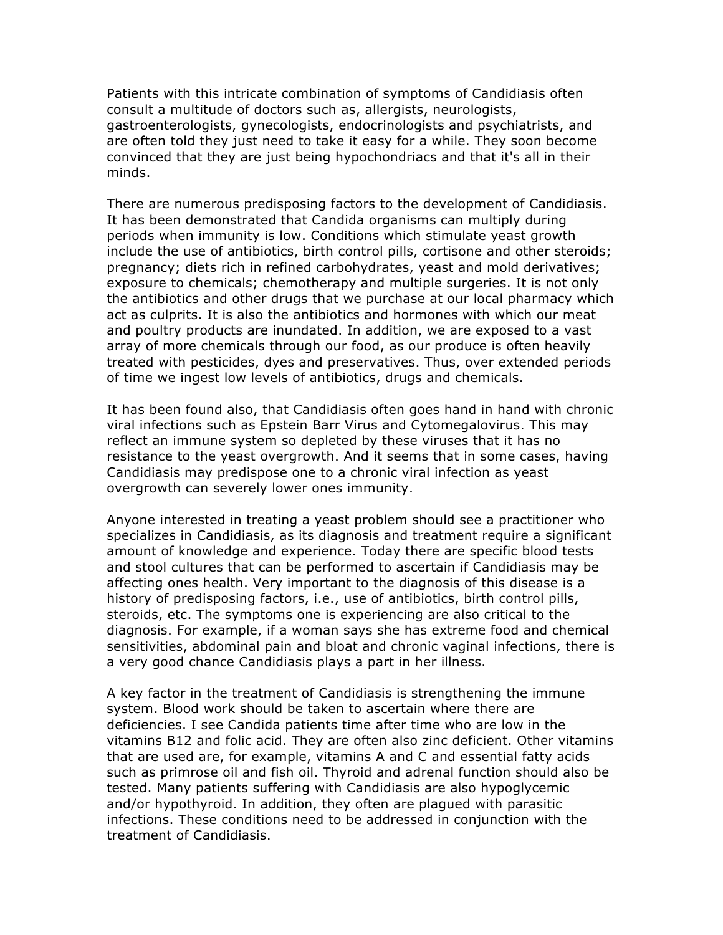Patients with this intricate combination of symptoms of Candidiasis often consult a multitude of doctors such as, allergists, neurologists, gastroenterologists, gynecologists, endocrinologists and psychiatrists, and are often told they just need to take it easy for a while. They soon become convinced that they are just being hypochondriacs and that it's all in their minds.

There are numerous predisposing factors to the development of Candidiasis. It has been demonstrated that Candida organisms can multiply during periods when immunity is low. Conditions which stimulate yeast growth include the use of antibiotics, birth control pills, cortisone and other steroids; pregnancy; diets rich in refined carbohydrates, yeast and mold derivatives; exposure to chemicals; chemotherapy and multiple surgeries. It is not only the antibiotics and other drugs that we purchase at our local pharmacy which act as culprits. It is also the antibiotics and hormones with which our meat and poultry products are inundated. In addition, we are exposed to a vast array of more chemicals through our food, as our produce is often heavily treated with pesticides, dyes and preservatives. Thus, over extended periods of time we ingest low levels of antibiotics, drugs and chemicals.

It has been found also, that Candidiasis often goes hand in hand with chronic viral infections such as Epstein Barr Virus and Cytomegalovirus. This may reflect an immune system so depleted by these viruses that it has no resistance to the yeast overgrowth. And it seems that in some cases, having Candidiasis may predispose one to a chronic viral infection as yeast overgrowth can severely lower ones immunity.

Anyone interested in treating a yeast problem should see a practitioner who specializes in Candidiasis, as its diagnosis and treatment require a significant amount of knowledge and experience. Today there are specific blood tests and stool cultures that can be performed to ascertain if Candidiasis may be affecting ones health. Very important to the diagnosis of this disease is a history of predisposing factors, i.e., use of antibiotics, birth control pills, steroids, etc. The symptoms one is experiencing are also critical to the diagnosis. For example, if a woman says she has extreme food and chemical sensitivities, abdominal pain and bloat and chronic vaginal infections, there is a very good chance Candidiasis plays a part in her illness.

A key factor in the treatment of Candidiasis is strengthening the immune system. Blood work should be taken to ascertain where there are deficiencies. I see Candida patients time after time who are low in the vitamins B12 and folic acid. They are often also zinc deficient. Other vitamins that are used are, for example, vitamins A and C and essential fatty acids such as primrose oil and fish oil. Thyroid and adrenal function should also be tested. Many patients suffering with Candidiasis are also hypoglycemic and/or hypothyroid. In addition, they often are plagued with parasitic infections. These conditions need to be addressed in conjunction with the treatment of Candidiasis.